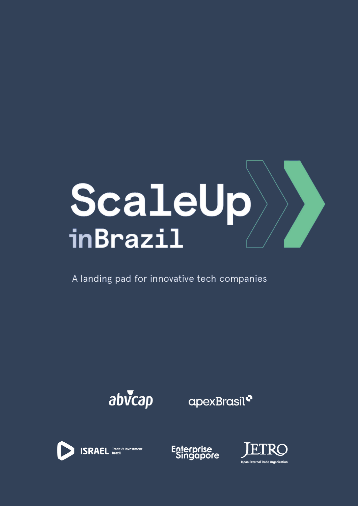

A landing pad for innovative tech companies



apexBrasil<sup>o</sup>





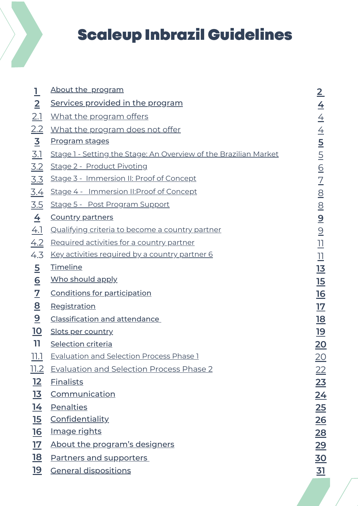# Scaleup Inbrazil Guidelines

| $\mathbf 1$             | About the program                                                |
|-------------------------|------------------------------------------------------------------|
| $\overline{2}$          | Services provided in the program                                 |
| 2.1                     | What the program offers                                          |
| <u>2.2</u>              | <u>What the program does not offer</u>                           |
| $\overline{\mathbf{3}}$ | <u>Program stages</u>                                            |
| <u>3.1</u>              | Stage 1 - Setting the Stage: An Overview of the Brazilian Market |
| 3.2                     | Stage 2 - Product Pivoting                                       |
| <u>3.3</u>              | Stage 3 - Immersion II: Proof of Concept                         |
| <u>3.4</u>              | Stage 4 - Immersion II: Proof of Concept                         |
| <u>3.5</u>              | Stage 5 - Post Program Support                                   |
| $\overline{4}$          | <b>Country partners</b>                                          |
| 4.1                     | <u>Qualifying criteria to become a country partner</u>           |
|                         | 4.2 Required activities for a country partner                    |
| 4.3                     | <u>Key activities required by a country partner 6</u>            |
| $\overline{5}$          | Timeline                                                         |
| $\underline{6}$         | Who should apply                                                 |
| $\overline{\mathbf{Z}}$ | <b>Conditions for participation</b>                              |
| $\overline{\mathbf{8}}$ | Registration                                                     |
| $\overline{\mathbf{2}}$ | <b>Classification and attendance</b>                             |
| <u> 10</u>              | <b>Slots per country</b>                                         |
| 11                      | <b>Selection criteria</b>                                        |
| <u> 11.1</u>            | <b>Evaluation and Selection Process Phase 1</b>                  |
| 11.2                    | <b>Evaluation and Selection Process Phase 2</b>                  |
| <u>12</u>               | <b>Finalists</b>                                                 |
| <u>13</u>               | <b>Communication</b>                                             |
| <u>14</u>               | <b>Penalties</b>                                                 |
| <u>15</u>               | <b>Confidentiality</b>                                           |
| <u>16</u>               | <u>Image rights</u>                                              |
| <u>17</u>               | About the program's designers                                    |
| <u>18</u>               | <b>Partners and supporters</b>                                   |
| <u> 19</u>              | <b>General dispositions</b>                                      |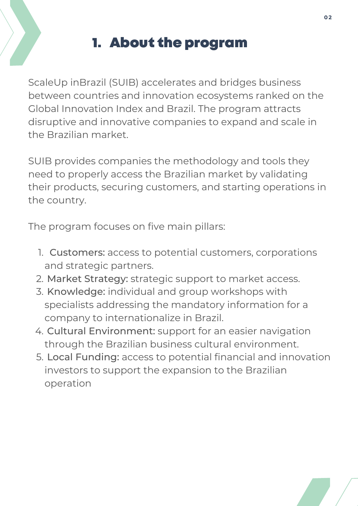## 1. About the program

ScaleUp inBrazil (SUIB) accelerates and bridges business between countries and innovation ecosystems ranked on the Global Innovation Index and Brazil. The program attracts disruptive and innovative companies to expand and scale in the Brazilian market.

SUIB provides companies the methodology and tools they need to properly access the Brazilian market by validating their products, securing customers, and starting operations in the country.

The program focuses on five main pillars:

- 1. Customers: access to potential customers, corporations and strategic partners.
- 2. Market Strategy: strategic support to market access.
- 3. Knowledge: individual and group workshops with specialists addressing the mandatory information for a company to internationalize in Brazil.
- 4. Cultural Environment: support for an easier navigation through the Brazilian business cultural environment.
- 5. **Local Funding:** access to potential financial and innovation investors to support the expansion to the Brazilian operation

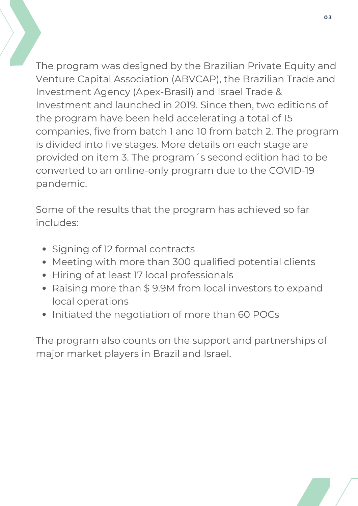The program was designed by the Brazilian Private Equity and Venture Capital Association (ABVCAP), the Brazilian Trade and Investment Agency (Apex-Brasil) and Israel Trade & Investment and launched in 2019. Since then, two editions of the program have been held accelerating a total of 15 companies, five from batch 1 and 10 from batch 2. The program is divided into five stages. More details on each stage are provided on item 3. The program´s second edition had to be converted to an online-only program due to the COVID-19 pandemic.

**03**

Some of the results that the program has achieved so far includes:

- Signing of 12 formal contracts
- Meeting with more than 300 qualified potential clients
- Hiring of at least 17 local professionals
- Raising more than \$ 9.9M from local investors to expand local operations
- Initiated the negotiation of more than 60 POCs

The program also counts on the support and partnerships of major market players in Brazil and Israel.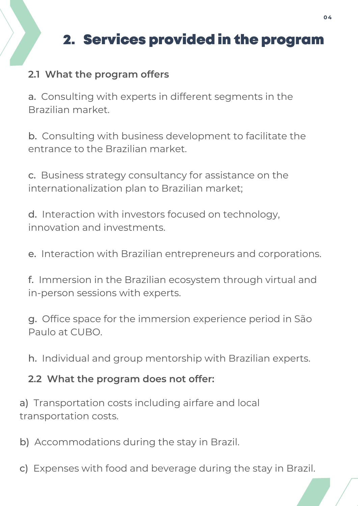# 2. Services provided in the program

### **2.1 What the program offers**

a. Consulting with experts in different segments in the Brazilian market.

b. Consulting with business development to facilitate the entrance to the Brazilian market.

c. Business strategy consultancy for assistance on the internationalization plan to Brazilian market;

d. Interaction with investors focused on technology, innovation and investments.

e. Interaction with Brazilian entrepreneurs and corporations.

f. Immersion in the Brazilian ecosystem through virtual and in-person sessions with experts.

g. Office space for the immersion experience period in São Paulo at CUBO.

h. Individual and group mentorship with Brazilian experts.

#### **2.2 What the program does not offer:**

a) Transportation costs including airfare and local transportation costs.

b) Accommodations during the stay in Brazil.

c) Expenses with food and beverage during the stay in Brazil.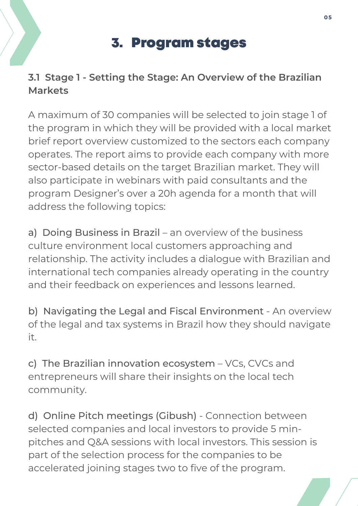## 3. Program stages

### **[3.1](http://www.scaleupinbrazil.com/) Stage 1 - Setting the Stage: An [Overview](http://www.scaleupinbrazil.com/) of the Brazilian Markets**

A maximum of 30 companies will be selected to join stage 1 of the program in which they will be provided with a local market brief report overview customized to the sectors each company operates. The report aims to provide each company with more [sector-based](http://www.scaleupinbrazil.com/) details on the target Brazilian market. They will also participate in webinars with paid consultants and the program Designer's over a 20h agenda for a month that will address the following topics:

a) Doing Business in Brazil – an overview of the business culture environment local customers approaching and relationship. The activity includes a dialogue with Brazilian and international tech companies already operating in the country and their feedback on experiences and lessons learned.

b) Navigating the Legal and Fiscal Environment - An overview of the legal and tax systems in Brazil how they should navigate it.

c) The Brazilian innovation ecosystem – VCs, CVCs and entrepreneurs will share their insights on the local tech community.

d) Online Pitch meetings (Gibush) - Connection between selected companies and local investors to provide 5 minpitches and Q&A sessions with local investors. This session is part of the selection process for the companies to be accelerated joining stages two to five of the program.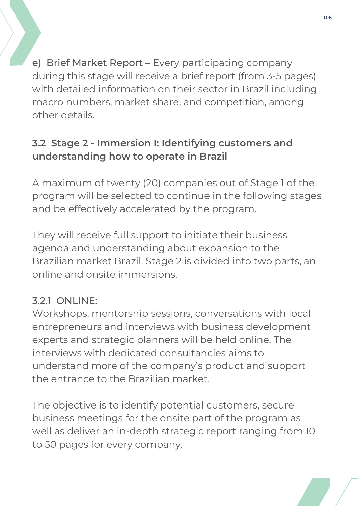[e\)](http://www.scaleupinbrazil.com/) Brief [Market](http://www.scaleupinbrazil.com/) Report – Every [participating](http://www.scaleupinbrazil.com/) company during this stage will receive a brief report (from 3-5 pages) with detailed information on their sector in Brazil including macro numbers, market share, and competition, among other details.

### **[3.2](http://www.scaleupinbrazil.com/) Stage 2 - Immersion I: Identifying customers and [understanding](http://www.scaleupinbrazil.com/) how to operate in Brazil**

A maximum of twenty (20) companies out of Stage 1 of the program will be selected to continue in the following stages and be effectively accelerated by the program.

They will receive full support to initiate their business agenda and understanding about expansion to the Brazilian market Brazil. Stage 2 is divided into two parts, an online and onsite immersions.

### 3.2.1 ONLINE:

Workshops, mentorship sessions, conversations with local entrepreneurs and interviews with business development experts and strategic planners will be held online. The interviews with dedicated consultancies aims to understand more of the company's product and support the entrance to the Brazilian market.

The objective is to identify potential customers, secure business meetings for the onsite part of the program as well as deliver an in-depth strategic report ranging from 10 to 50 pages for every company.

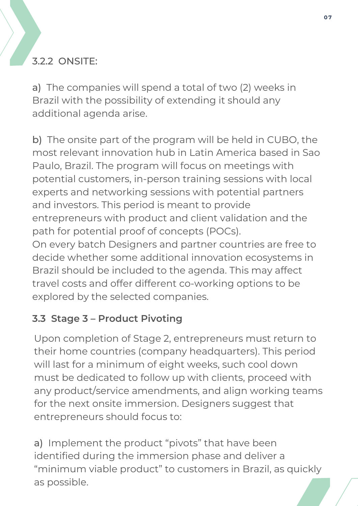### 3.2.2 ONSITE:

a) The companies will spend a total of two (2) weeks in Brazil with the possibility of extending it should any additional agenda arise.

b) The onsite part of the program will be held in CUBO, the most relevant innovation hub in Latin America based in Sao Paulo, Brazil. The program will focus on meetings with potential customers, in-person training sessions with local experts and networking sessions with potential partners and investors. This period is meant to provide entrepreneurs with product and client validation and the path for potential proof of concepts (POCs). On every batch Designers and partner countries are free to decide whether some additional innovation ecosystems in Brazil should be included to the agenda. This may affect travel costs and offer different co-working options to be explored by the selected companies.

### **[3.3](http://www.scaleupinbrazil.com/) Stage 3 – Product [Pivoting](http://www.scaleupinbrazil.com/)**

Upon completion of Stage 2, entrepreneurs must return to their home countries (company headquarters). This period will last for a minimum of eight weeks, such cool down must be dedicated to follow up with clients, proceed with any product/service amendments, and align working teams for the next onsite immersion. Designers suggest that entrepreneurs should focus to:

a) Implement the product "pivots" that have been identified during the immersion phase and deliver a "minimum viable product" to customers in Brazil, as quickly as possible.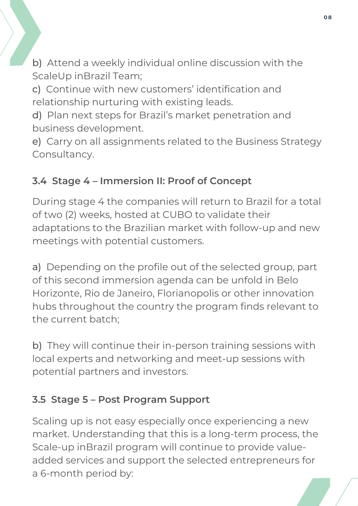b) Attend a weekly individual online discussion with the ScaleUp inBrazil Team;

c) Continue with new customers' identification and relationship nurturing with existing leads.

d) Plan next steps for Brazil's market penetration and business development.

e) Carry on all assignments related to the Business Strategy Consultancy.

### **[3.4](http://www.scaleupinbrazil.com/) [S](http://www.scaleupinbrazil.com/)tage 4 – [Immersion](http://www.scaleupinbrazil.com/) II: Proof of Concept**

During stage 4 the companies will return to Brazil for a total of two (2) weeks, hosted at CUBO to validate their adaptations to the Brazilian market with follow-up and new meetings with potential customers.

a) Depending on the profile out of the selected group, part of this second immersion agenda can be unfold in Belo Horizonte, Rio de Janeiro, Florianopolis or other innovation hubs throughout the country the program finds relevant to the current batch;

b) They will continue their in-person training sessions with local experts and networking and meet-up sessions with potential partners and investors.

### **[3.5](http://www.scaleupinbrazil.com/) Stage 5 – Post [Program](http://www.scaleupinbrazil.com/) Support**

Scaling up is not easy especially once experiencing a new market. Understanding that this is a long-term process, the Scale-up inBrazil program will continue to provide valueadded services and support the selected entrepreneurs for a 6-month period by:

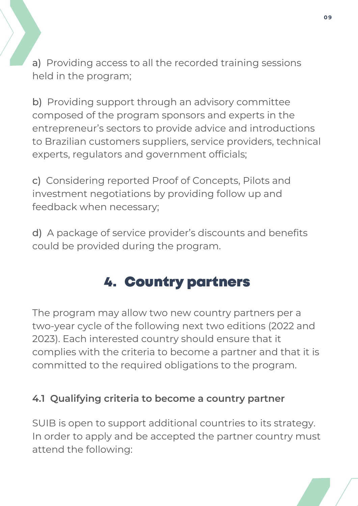a) Providing access to all the recorded training sessions held in the program;

b) Providing support through an advisory committee composed of the program sponsors and experts in the entrepreneur's sectors to provide advice and introductions to Brazilian customers suppliers, service providers, technical experts, regulators and government officials;

c) Considering reported Proof of Concepts, Pilots and investment negotiations by providing follow up and feedback when necessary;

d) A package of service provider's discounts and benefits could be provided during the program.

## 4. Country [partners](http://www.scaleupinbrazil.com/)

The program may allow two new country partners per a two-year cycle of the following next two editions (2022 and 2023). Each interested country should ensure that it complies with the criteria to become a partner and that it is committed to the required obligations to the program.

#### **[4.1](http://www.scaleupinbrazil.com/) [Qualifying](http://www.scaleupinbrazil.com/) criteria to become a country partner**

SUIB is open to support additional countries to its strategy. In order to apply and be accepted the partner country must attend the following:

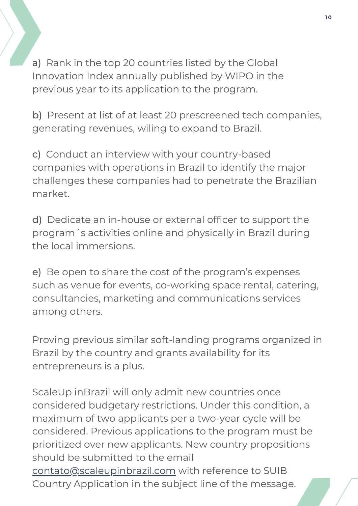a) Rank in the top 20 countries listed by the Global Innovation Index annually published by WIPO in the previous year to its application to the program.

b) Present at list of at least 20 prescreened tech companies, generating revenues, wiling to expand to Brazil.

c) Conduct an interview with your country-based companies with operations in Brazil to identify the major challenges these companies had to penetrate the Brazilian market.

d) Dedicate an in-house or external officer to support the program´s activities online and physically in Brazil during the local immersions.

e) Be open to share the cost of the program's expenses such as venue for events, co-working space rental, catering, consultancies, marketing and communications services among others.

Proving previous similar soft-landing programs organized in Brazil by the country and grants availability for its entrepreneurs is a plus.

ScaleUp inBrazil will only admit new countries once considered budgetary restrictions. Under this condition, a maximum of two applicants per a two-year cycle will be considered. Previous applications to the program must be prioritized over new applicants. New country propositions should be submitted to the email [contato@scaleupinbrazil.com](mailto:contato@scaleupinbrazil.com) with reference to SUIB Country Application in the subject line of the message.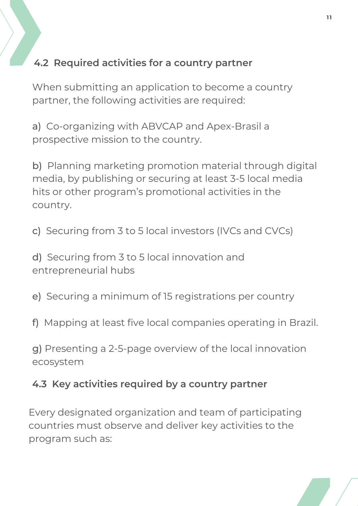### **4.2 Required activities for a country partner**

When submitting an application to become a country partner, the following activities are required:

a) Co-organizing with ABVCAP and Apex-Brasil a prospective mission to the country.

b) Planning marketing promotion material through digital media, by publishing or securing at least 3-5 local media hits or other program's promotional activities in the country.

c) Securing from 3 to 5 local investors (IVCs and CVCs)

d) Securing from 3 to 5 local innovation and entrepreneurial hubs

e) Securing a minimum of 15 registrations per country

f) Mapping at least five local companies operating in Brazil.

g) Presenting a 2-5-page overview of the local innovation ecosystem

#### **4.3 Key activities required by a country partner**

Every designated organization and team of participating countries must observe and deliver key activities to the program such as:

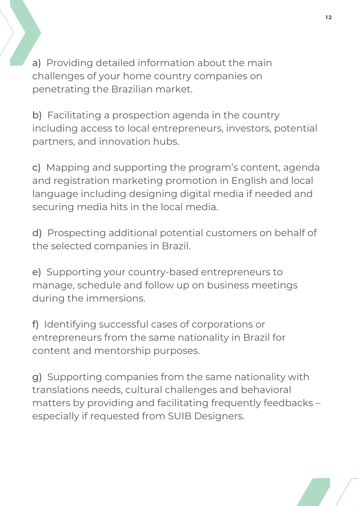a) Providing detailed information about the main challenges of your home country companies on penetrating the Brazilian market.

b) Facilitating a prospection agenda in the country including access to local entrepreneurs, investors, potential partners, and innovation hubs.

c) Mapping and supporting the program's content, agenda and registration marketing promotion in English and local language including designing digital media if needed and securing media hits in the local media.

d) Prospecting additional potential customers on behalf of the selected companies in Brazil.

e) Supporting your country-based entrepreneurs to manage, schedule and follow up on business meetings during the immersions.

f) Identifying successful cases of corporations or entrepreneurs from the same nationality in Brazil for content and mentorship purposes.

g) Supporting companies from the same nationality with translations needs, cultural challenges and behavioral matters by providing and facilitating frequently feedbacks – especially if requested from SUIB Designers.

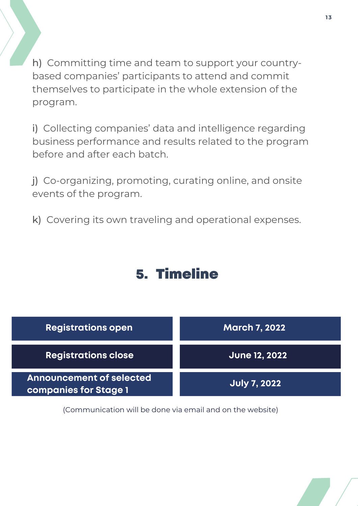h) Committing time and team to support your countrybased companies' participants to attend and commit themselves to participate in the whole extension of the program.

i) Collecting companies' data and intelligence regarding business performance and results related to the program before and after each batch.

j) Co-organizing, promoting, curating online, and onsite events of the program.

k) Covering its own traveling and operational expenses.

### 5. Timeline



(Communication will be done via email and on the website)

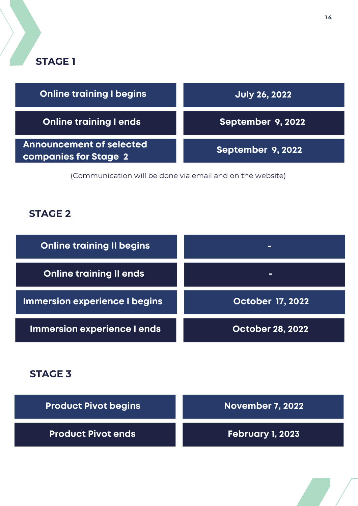### **STAGE 1**

| <b>Online training I begins</b>                                 | <b>July 26, 2022</b>     |
|-----------------------------------------------------------------|--------------------------|
| <b>Online training I ends</b>                                   | September 9, 2022        |
| <b>Announcement of selected</b><br><b>companies for Stage 2</b> | <b>September 9, 2022</b> |

(Communication will be done via email and on the website)

### **STAGE 2**

| <b>Online training II begins</b> | -                       |
|----------------------------------|-------------------------|
| <b>Online training II ends</b>   | -                       |
| Immersion experience I begins    | <b>October 17, 2022</b> |
| Immersion experience I ends      | <b>October 28, 2022</b> |

#### **STAGE 3**

| <b>Product Pivot begins</b> | November 7, 2022 |
|-----------------------------|------------------|
| <b>Product Pivot ends</b>   | February 1, 2023 |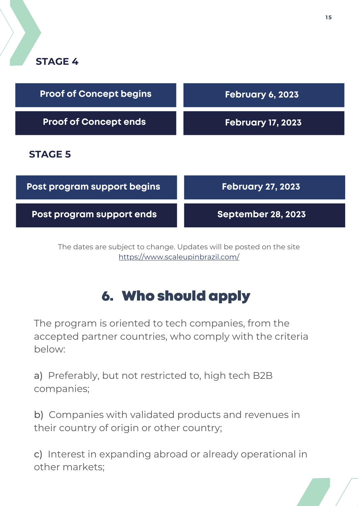

| <b>Proof of Concept begins</b> | February 6, 2023          |
|--------------------------------|---------------------------|
| <b>Proof of Concept ends</b>   | <b>February 17, 2023</b>  |
| <b>STAGE 5</b>                 |                           |
| Post program support begins    | <b>February 27, 2023</b>  |
| Post program support ends      | <b>September 28, 2023</b> |

The dates are subject to change. Updates will be posted on the site <https://www.scaleupinbrazil.com/>

# 6. Who should apply

**August 9, 2022** The program is oriented to tech companies, from the accepted partner countries, who comply with the criteria below:

a) Preferably, but not restricted to, high tech B2B companies;

b) Companies with validated products and revenues in their country of origin or other country;

c) Interest in expanding abroad or already operational in other markets;

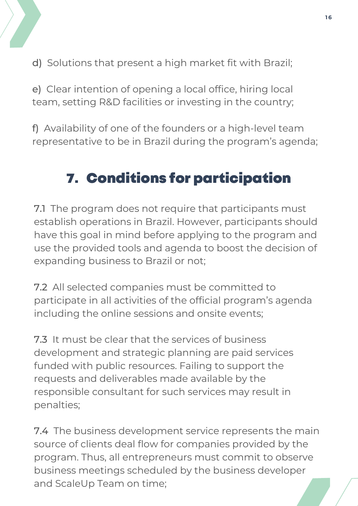

d) Solutions that present a high market fit with Brazil;

e) Clear intention of opening a local office, hiring local team, setting R&D facilities or investing in the country;

f) Availability of one of the founders or a high-level team representative to be in Brazil during the program's agenda;

# 7. Conditions for participation

7.1 The program does not require that participants must establish operations in Brazil. However, participants should have this goal in mind before applying to the program and use the provided tools and agenda to boost the decision of expanding business to Brazil or not;

7.2 All selected companies must be committed to participate in all activities of the official program's agenda including the online sessions and onsite events;

7.3 It must be clear that the services of business development and strategic planning are paid services funded with public resources. Failing to support the requests and deliverables made available by the responsible consultant for such services may result in penalties;

**October 23, 2022** 7.4 The business development service represents the main source of clients deal flow for companies provided by the program. Thus, all entrepreneurs must commit to observe business meetings scheduled by the business developer and ScaleUp Team on time;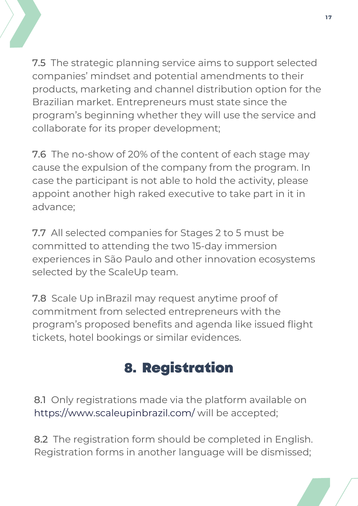

7.5 The strategic planning service aims to support selected companies' mindset and potential amendments to their products, marketing and channel distribution option for the Brazilian market. Entrepreneurs must state since the program's beginning whether they will use the service and collaborate for its proper development;

7.6 The no-show of 20% of the content of each stage may cause the expulsion of the company from the program. In case the participant is not able to hold the activity, please appoint another high raked executive to take part in it in advance;

7.7 All selected companies for Stages 2 to 5 must be committed to attending the two 15-day immersion experiences in São Paulo and other innovation ecosystems selected by the ScaleUp team.

7.8 Scale Up inBrazil may request anytime proof of commitment from selected entrepreneurs with the program's proposed benefits and agenda like issued flight tickets, hotel bookings or similar evidences.

# 8. Registration

8.1 Only registrations made via the platform available on <https://www.scaleupinbrazil.com/> will be accepted;

**October 23, 2022** 8.2 The registration form should be completed in English. Registration forms in another language will be dismissed;

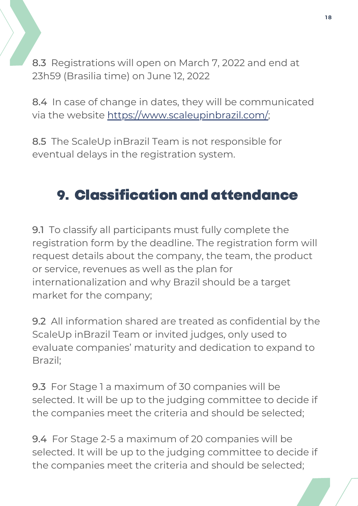8.3 Registrations will open on March 7, 2022 and end at 23h59 (Brasilia time) on June 12, 2022

8.4 In case of change in dates, they will be communicated via the website <https://www.scaleupinbrazil.com/>;

8.5 The ScaleUp inBrazil Team is not responsible for eventual delays in the registration system.

## 9. Classification and attendance

9.1 To classify all participants must fully complete the registration form by the deadline. The registration form will request details about the company, the team, the product or service, revenues as well as the plan for internationalization and why Brazil should be a target market for the company;

9.2 All information shared are treated as confidential by the ScaleUp inBrazil Team or invited judges, only used to evaluate companies' maturity and dedication to expand to Brazil;

9.3 For Stage 1 a maximum of 30 companies will be selected. It will be up to the judging committee to decide if the companies meet the criteria and should be selected;

**October 23, 2022** 9.4 For Stage 2-5 a maximum of 20 companies will be selected. It will be up to the judging committee to decide if the companies meet the criteria and should be selected;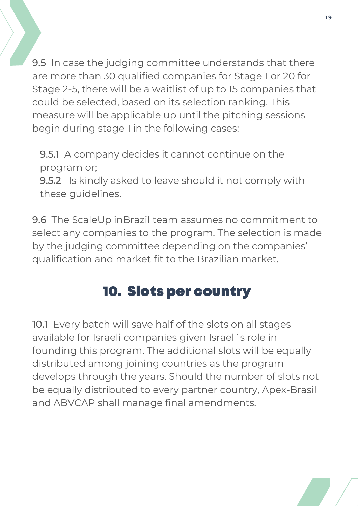9.5 In case the judging committee understands that there are more than 30 qualified companies for Stage 1 or 20 for Stage 2-5, there will be a waitlist of up to 15 companies that could be selected, based on its selection ranking. This measure will be applicable up until the pitching sessions begin during stage 1 in the following cases:

**19**

9.5.1 A company decides it cannot continue on the program or;

9.5.2 Is kindly asked to leave should it not comply with these guidelines.

9.6 The ScaleUp inBrazil team assumes no commitment to select any companies to the program. The selection is made by the judging committee depending on the companies' qualification and market fit to the Brazilian market.

## 10. Slots per country

10.1 Every batch will save half of the slots on all stages available for Israeli companies given Israel´s role in founding this program. The additional slots will be equally distributed among joining countries as the program develops through the years. Should the number of slots not be equally distributed to every partner country, Apex-Brasil and ABVCAP shall manage final amendments.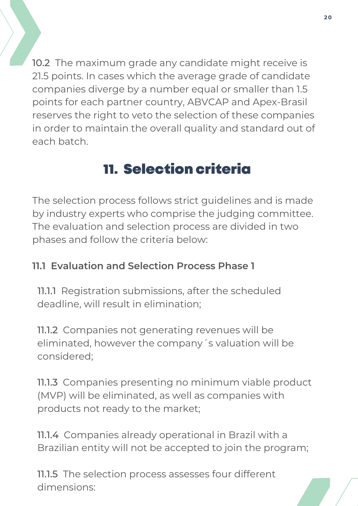10.2 The maximum grade any candidate might receive is 21.5 points. In cases which the average grade of candidate companies diverge by a number equal or smaller than 1.5 points for each partner country, ABVCAP and Apex-Brasil reserves the right to veto the selection of these companies in order to maintain the overall quality and standard out of each batch.

# 11. Selection criteria

The selection process follows strict guidelines and is made by industry experts who comprise the judging committee. The evaluation and selection process are divided in two phases and follow the criteria below:

### **11.1 Evaluation and Selection Process Phase 1**

11.1.1 Registration submissions, after the scheduled deadline, will result in elimination;

11.1.2 Companies not generating revenues will be eliminated, however the company´s valuation will be considered;

11.1.3 Companies presenting no minimum viable product (MVP) will be eliminated, as well as companies with products not ready to the market;

**11.1.4** Companies already operational in Brazil with a Brazilian entity will not be accepted to join the program;

11.1.5 The selection process assesses four different dimensions: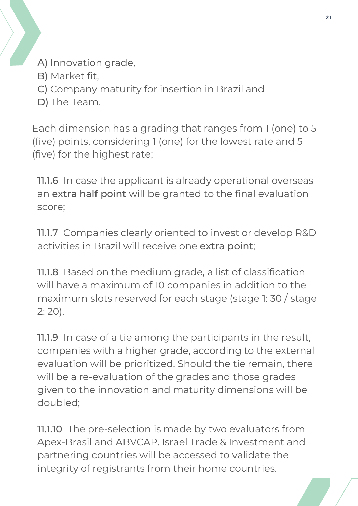- A) Innovation grade,
- B) Market fit,
- C) Company maturity for insertion in Brazil and
- D) The Team.

Each dimension has a grading that ranges from 1 (one) to 5 (five) points, considering 1 (one) for the lowest rate and 5 (five) for the highest rate;

11.1.6 In case the applicant is already operational overseas an extra half point will be granted to the final evaluation score;

11.1.7 Companies clearly oriented to invest or develop R&D activities in Brazil will receive one extra point;

11.1.8 Based on the medium grade, a list of classification will have a maximum of 10 companies in addition to the maximum slots reserved for each stage (stage 1: 30 / stage 2: 20).

11.1.9 In case of a tie among the participants in the result, companies with a higher grade, according to the external evaluation will be prioritized. Should the tie remain, there will be a re-evaluation of the grades and those grades given to the innovation and maturity dimensions will be doubled;

**11.1.10** The pre-selection is made by two evaluators from Apex-Brasil and ABVCAP. Israel Trade & Investment and partnering countries will be accessed to validate the integrity of registrants from their home countries.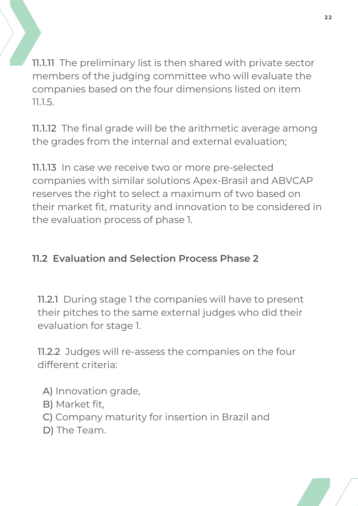11.1.11 The preliminary list is then shared with private sector members of the judging committee who will evaluate the companies based on the four dimensions listed on item 11.1.5.

11.1.12 The final grade will be the arithmetic average among the grades from the internal and external evaluation;

11.1.13 In case we receive two or more pre-selected companies with similar solutions Apex-Brasil and ABVCAP reserves the right to select a maximum of two based on their market fit, maturity and innovation to be considered in the evaluation process of phase 1.

### **11.2 Evaluation and Selection Process Phase 2**

11.2.1 During stage 1 the companies will have to present their pitches to the same external judges who did their evaluation for stage 1.

11.2.2 Judges will re-assess the companies on the four different criteria:

- A) Innovation grade,
- B) Market fit,
- C) Company maturity for insertion in Brazil and
- D) The Team.

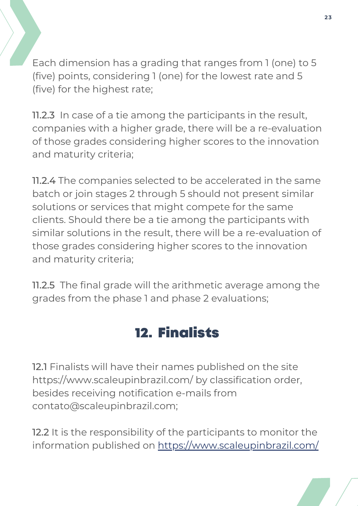Each dimension has a grading that ranges from 1 (one) to 5 (five) points, considering 1 (one) for the lowest rate and 5 (five) for the highest rate;

11.2.3 In case of a tie among the participants in the result, companies with a higher grade, there will be a re-evaluation of those grades considering higher scores to the innovation and maturity criteria;

11.2.4 The companies selected to be accelerated in the same batch or join stages 2 through 5 should not present similar solutions or services that might compete for the same clients. Should there be a tie among the participants with similar solutions in the result, there will be a re-evaluation of those grades considering higher scores to the innovation and maturity criteria;

11.2.5 The final grade will the arithmetic average among the grades from the phase 1 and phase 2 evaluations;

## 12. Finalists

12.1 Finalists will have their names published on the site <https://www.scaleupinbrazil.com/> by classification order, besides receiving notification e-mails from [contato@scaleupinbrazil.com](mailto:contato@scaleupinbrazil.com);

**12.2** It is the responsibility of the participants to monitor the information published on <https://www.scaleupinbrazil.com/>

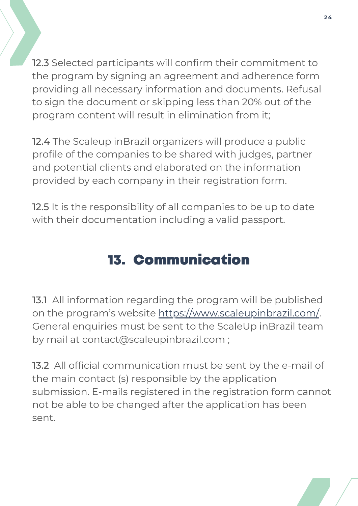12.3 Selected participants will confirm their commitment to the program by signing an agreement and adherence form providing all necessary information and documents. Refusal to sign the document or skipping less than 20% out of the program content will result in elimination from it;

12.4 The Scaleup inBrazil organizers will produce a public profile of the companies to be shared with judges, partner and potential clients and elaborated on the information provided by each company in their registration form.

12.5 It is the responsibility of all companies to be up to date with their documentation including a valid passport.

## 13. Communication

[13.1](http://www.scaleupinbrazil.com/) All information regarding the program will be published on the program's website [https://www.scaleupinbrazil.com/.](http://www.scaleupinbrazil.com/) General enquiries must be sent to the ScaleUp inBrazil team by mail at contact@scaleupinbrazil.com ;

13.2 All official [communication](http://www.scaleupinbrazil.com/) must be sent by the e-mail of the main contact (s) responsible by the application submission. E-mails registered in the registration form cannot not be able to be changed after the application has been sent.

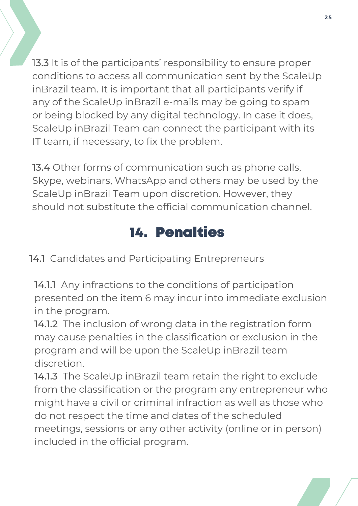1[3.3](http://www.scaleupinbrazil.com/) It is of the participants' responsibility to ensure proper conditions to access all [communication](http://www.scaleupinbrazil.com/) sent by the ScaleUp inBrazil team. It is important that all participants verify if any of the ScaleUp inBrazil e-mails may be going to spam or being blocked by any digital technology. In case it does, ScaleUp inBrazil Team can connect the participant with its IT team, if necessary, to fix the problem.

[13.4](http://www.scaleupinbrazil.com/) Other forms of communication such as phone calls, Skype, webinars, WhatsApp and others may be used by the ScaleUp inBrazil Team upon discretion. However, they should not substitute the official [communication](http://www.scaleupinbrazil.com/) channel.

## 14. Penalties

14.1 Candidates and Participating Entrepreneurs

14.1.1 Any infractions to the conditions of participation presented on the item 6 may incur into immediate exclusion in the program.

14.1.2 The inclusion of wrong data in the registration form may cause penalties in the classification or exclusion in the program and will be upon the ScaleUp inBrazil team discretion.

meetings, sessions or any other activity (online or in person) 14.1.3 The ScaleUp inBrazil team retain the right to exclude from the classification or the program any entrepreneur who might have a civil or criminal infraction as well as those who do not respect the time and dates of the scheduled included in the official program.

**2 5**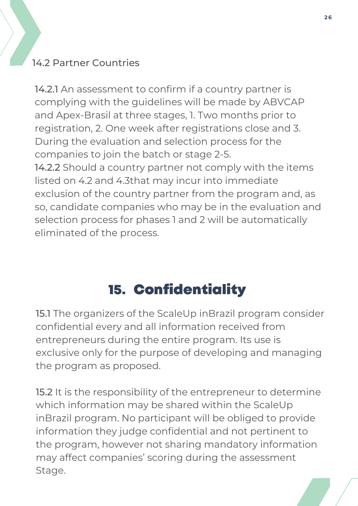### 14.2 Partner Countries

14.2.1 An assessment to confirm if a country partner is complying with the guidelines will be made by ABVCAP and Apex-Brasil at three stages, 1. Two months prior to registration, 2. One week after registrations close and 3. During the evaluation and selection process for the companies to join the batch or stage 2-5. 14.2.2 Should a country partner not comply with the items listed on 4.2 and 4.3that may incur into immediate exclusion of the country partner from the program and, as so, candidate companies who may be in the evaluation and selection process for phases 1 and 2 will be automatically

eliminated of the process.

# 15. Confidentiality

15.1 The organizers of the ScaleUp inBrazil program consider confidential every and all information received from entrepreneurs during the entire program. Its use is exclusive only for the purpose of developing and managing the program as proposed.

**October 23, 2022** information they judge confidential and not pertinent to 15.2 It is the responsibility of the entrepreneur to determine which information may be shared within the ScaleUp inBrazil program. No participant will be obliged to provide the program, however not sharing mandatory information may affect companies' scoring during the assessment Stage.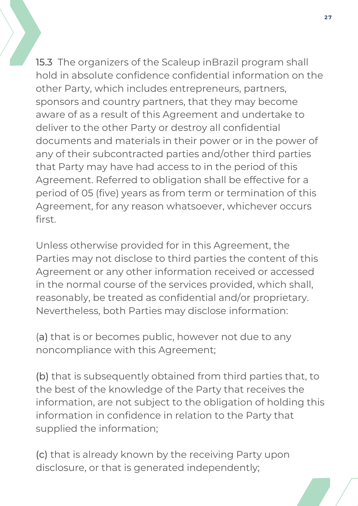15.3 The organizers of the Scaleup inBrazil program shall hold in absolute confidence confidential information on the other Party, which includes entrepreneurs, partners, sponsors and country partners, that they may become aware of as a result of this Agreement and undertake to deliver to the other Party or destroy all confidential documents and materials in their power or in the power of any of their subcontracted parties and/other third parties that Party may have had access to in the period of this Agreement. Referred to obligation shall be effective for a period of 05 (five) years as from term or termination of this Agreement, for any reason whatsoever, whichever occurs first.

Unless otherwise provided for in this Agreement, the Parties may not disclose to third parties the content of this Agreement or any other information received or accessed in the normal course of the services provided, which shall, reasonably, be treated as confidential and/or proprietary. Nevertheless, both Parties may disclose information:

(a) that is or becomes public, however not due to any noncompliance with this Agreement;

(b) that is subsequently obtained from third parties that, to the best of the knowledge of the Party that receives the information, are not subject to the obligation of holding this information in confidence in relation to the Party that supplied the information;

(c) that is already known by the receiving Party upon disclosure, or that is generated independently;

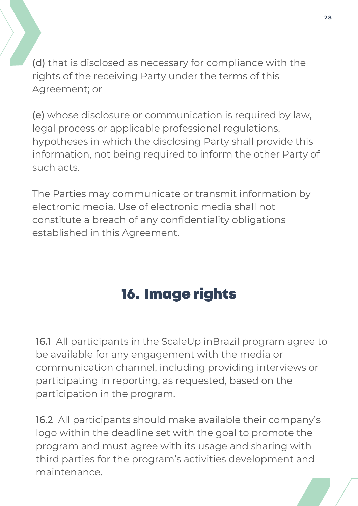(d) that is disclosed as necessary for compliance with the rights of the receiving Party under the terms of this Agreement; or

(e) whose disclosure or communication is required by law, legal process or applicable professional regulations, hypotheses in which the disclosing Party shall provide this information, not being required to inform the other Party of such acts.

The Parties may communicate or transmit information by electronic media. Use of electronic media shall not constitute a breach of any confidentiality obligations established in this Agreement.

# 16. Image rights

16.1 All participants in the ScaleUp inBrazil program agree to be available for any engagement with the media or communication channel, including providing interviews or participating in reporting, as requested, based on the participation in the program.

**October 23, 2022** 16.2 All participants should make available their company's logo within the deadline set with the goal to promote the program and must agree with its usage and sharing with third parties for the program's activities development and maintenance.

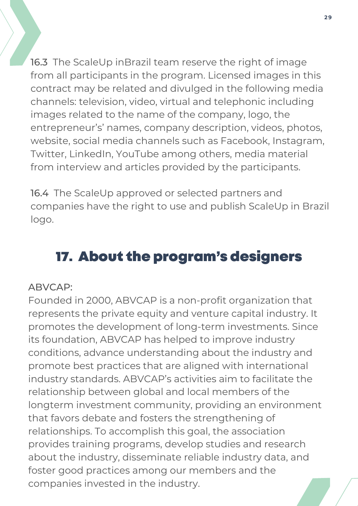16.3 The ScaleUp inBrazil team reserve the right of image from all participants in the program. Licensed images in this contract may be related and divulged in the following media channels: television, video, virtual and telephonic including images related to the name of the company, logo, the entrepreneur's' names, company description, videos, photos, website, social media channels such as Facebook, Instagram, Twitter, LinkedIn, YouTube among others, media material from interview and articles provided by the participants.

16.4 The ScaleUp approved or selected partners and companies have the right to use and publish ScaleUp in Brazil logo.

## 17. About the program's designers

#### ABVCAP:

**October 23, 2022** relationships. To accomplish this goal, the association Founded in 2000, ABVCAP is a non-profit organization that represents the private equity and venture capital industry. It promotes the development of long-term investments. Since its foundation, ABVCAP has helped to improve industry conditions, advance understanding about the industry and promote best practices that are aligned with international industry standards. ABVCAP's activities aim to facilitate the relationship between global and local members of the longterm investment community, providing an environment that favors debate and fosters the strengthening of provides training programs, develop studies and research about the industry, disseminate reliable industry data, and foster good practices among our members and the companies invested in the industry.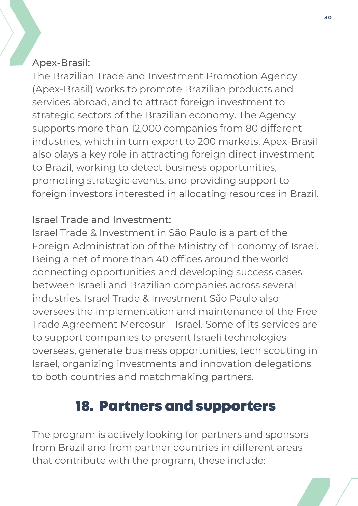#### Apex-Brasil:

The Brazilian Trade and Investment Promotion Agency (Apex-Brasil) works to promote Brazilian products and services abroad, and to attract foreign investment to strategic sectors of the Brazilian economy. The Agency supports more than 12,000 companies from 80 different industries, which in turn export to 200 markets. Apex-Brasil also plays a key role in attracting foreign direct investment to Brazil, working to detect business opportunities, promoting strategic events, and providing support to foreign investors interested in allocating resources in Brazil.

#### Israel Trade and Investment:

Israel Trade & [Investment](http://israeltrade.org.br/) in São Paulo is a part of the Foreign Administration of the Ministry of Economy of Israel. Being a net of more than 40 offices around the world connecting opportunities and developing success cases between Israeli and Brazilian companies across several industries. Israel Trade & Investment São Paulo also oversees the implementation and maintenance of the Free Trade Agreement Mercosur – Israel. Some of its services are to support companies to present Israeli technologies overseas, generate business opportunities, tech scouting in Israel, organizing investments and innovation delegations to both countries and matchmaking partners.

### 18. Partners and supporters

The program is actively looking for partners and sponsors from Brazil and from partner countries in different areas that contribute with the program, these include: